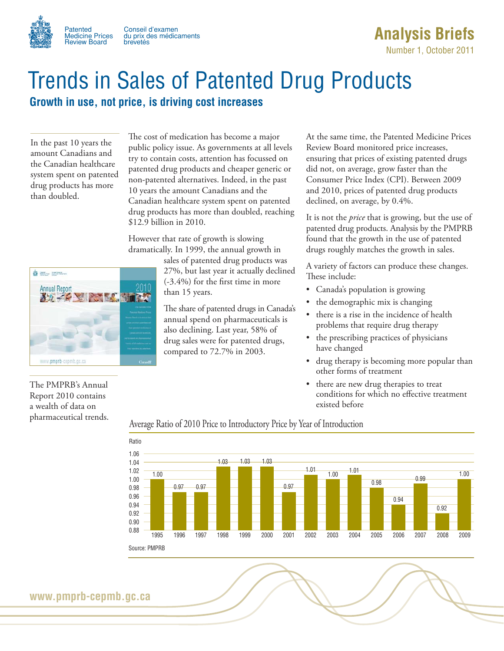

Patented Conseil d'examen<br>Medicine Prices du prix des médica du prix des médicaments<br>brevetés

# **Analysis Briefs**

Number 1, October 2011

# Trends in Sales of Patented Drug Products

## **Growth in use, not price, is driving cost increases**

In the past 10 years the amount Canadians and the Canadian healthcare system spent on patented drug products has more than doubled.

The cost of medication has become a major public policy issue. As governments at all levels try to contain costs, attention has focussed on patented drug products and cheaper generic or non-patented alternatives. Indeed, in the past 10 years the amount Canadians and the Canadian healthcare system spent on patented drug products has more than doubled, reaching \$12.9 billion in 2010.

However that rate of growth is slowing dramatically. In 1999, the annual growth in



sales of patented drug products was 27%, but last year it actually declined (-3.4%) for the first time in more than 15 years.

The share of patented drugs in Canada's annual spend on pharmaceuticals is also declining. Last year, 58% of drug sales were for patented drugs, compared to 72.7% in 2003.

At the same time, the Patented Medicine Prices Review Board monitored price increases, ensuring that prices of existing patented drugs did not, on average, grow faster than the Consumer Price Index (CPI). Between 2009 and 2010, prices of patented drug products declined, on average, by 0.4%.

It is not the *price* that is growing, but the use of patented drug products. Analysis by the PMPRB found that the growth in the use of patented drugs roughly matches the growth in sales.

A variety of factors can produce these changes. These include:

- Canada's population is growing
- the demographic mix is changing
- there is a rise in the incidence of health problems that require drug therapy
- the prescribing practices of physicians have changed
- drug therapy is becoming more popular than other forms of treatment
- there are new drug therapies to treat conditions for which no effective treatment existed before

### The PMPRB's Annual Report 2010 contains a wealth of data on pharmaceutical trends.

#### Average Ratio of 2010 Price to Introductory Price by Year of Introduction



**www.pmprb-cepmb.gc.ca**